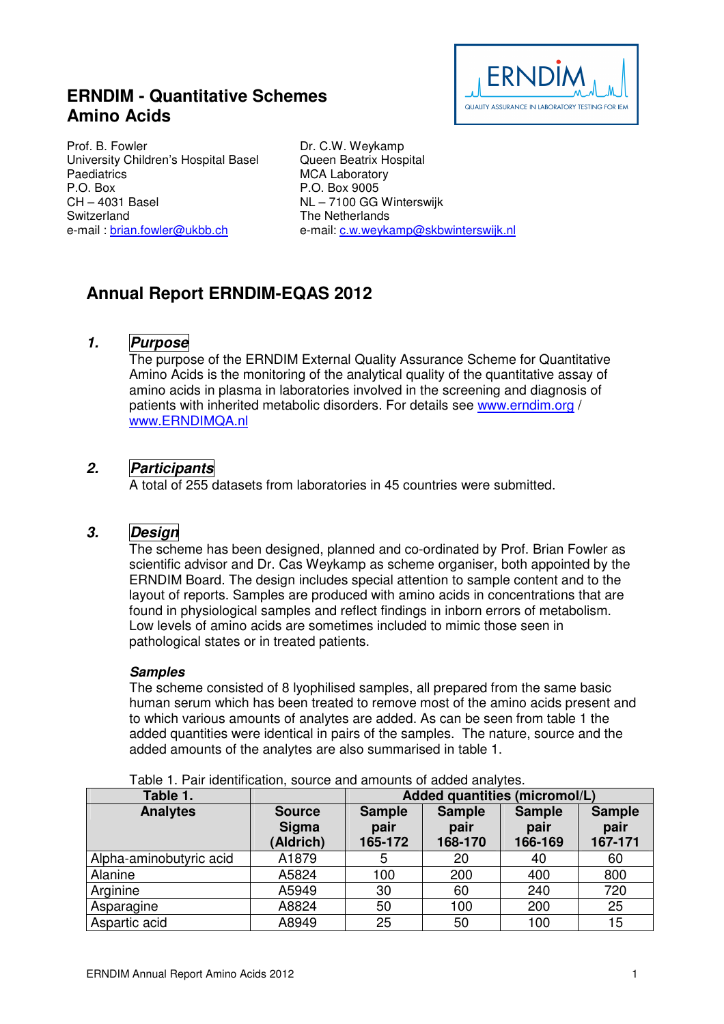# **ERNDIM - Quantitative Schemes Amino Acids**



Prof. B. Fowler University Children's Hospital Basel **Paediatrics** P.O. Box CH – 4031 Basel **Switzerland** e-mail : brian.fowler@ukbb.ch

Dr. C.W. Weykamp Queen Beatrix Hospital MCA Laboratory P.O. Box 9005 NL – 7100 GG Winterswijk The Netherlands e-mail: c.w.weykamp@skbwinterswijk.nl

# **Annual Report ERNDIM-EQAS 2012**

# **1. Purpose**

The purpose of the ERNDIM External Quality Assurance Scheme for Quantitative Amino Acids is the monitoring of the analytical quality of the quantitative assay of amino acids in plasma in laboratories involved in the screening and diagnosis of patients with inherited metabolic disorders. For details see www.erndim.org / www.ERNDIMQA.nl

# **2. Participants**

A total of 255 datasets from laboratories in 45 countries were submitted.

# **3. Design**

The scheme has been designed, planned and co-ordinated by Prof. Brian Fowler as scientific advisor and Dr. Cas Weykamp as scheme organiser, both appointed by the ERNDIM Board. The design includes special attention to sample content and to the layout of reports. Samples are produced with amino acids in concentrations that are found in physiological samples and reflect findings in inborn errors of metabolism. Low levels of amino acids are sometimes included to mimic those seen in pathological states or in treated patients.

## **Samples**

The scheme consisted of 8 lyophilised samples, all prepared from the same basic human serum which has been treated to remove most of the amino acids present and to which various amounts of analytes are added. As can be seen from table 1 the added quantities were identical in pairs of the samples. The nature, source and the added amounts of the analytes are also summarised in table 1.

| Table 1.                |                                            | Added quantities (micromol/L)    |                                  |                                  |                                  |  |  |
|-------------------------|--------------------------------------------|----------------------------------|----------------------------------|----------------------------------|----------------------------------|--|--|
| <b>Analytes</b>         | <b>Source</b><br><b>Sigma</b><br>(Aldrich) | <b>Sample</b><br>pair<br>165-172 | <b>Sample</b><br>pair<br>168-170 | <b>Sample</b><br>pair<br>166-169 | <b>Sample</b><br>pair<br>167-171 |  |  |
| Alpha-aminobutyric acid | A1879                                      | ა                                | 20                               | 40                               | 60                               |  |  |
| Alanine                 | A5824                                      | 100                              | 200                              | 400                              | 800                              |  |  |
| Arginine                | A5949                                      | 30                               | 60                               | 240                              | 720                              |  |  |
| Asparagine              | A8824                                      | 50                               | 100                              | 200                              | 25                               |  |  |
| Aspartic acid           | A8949                                      | 25                               | 50                               | 100                              | 15                               |  |  |

Table 1. Pair identification, source and amounts of added analytes.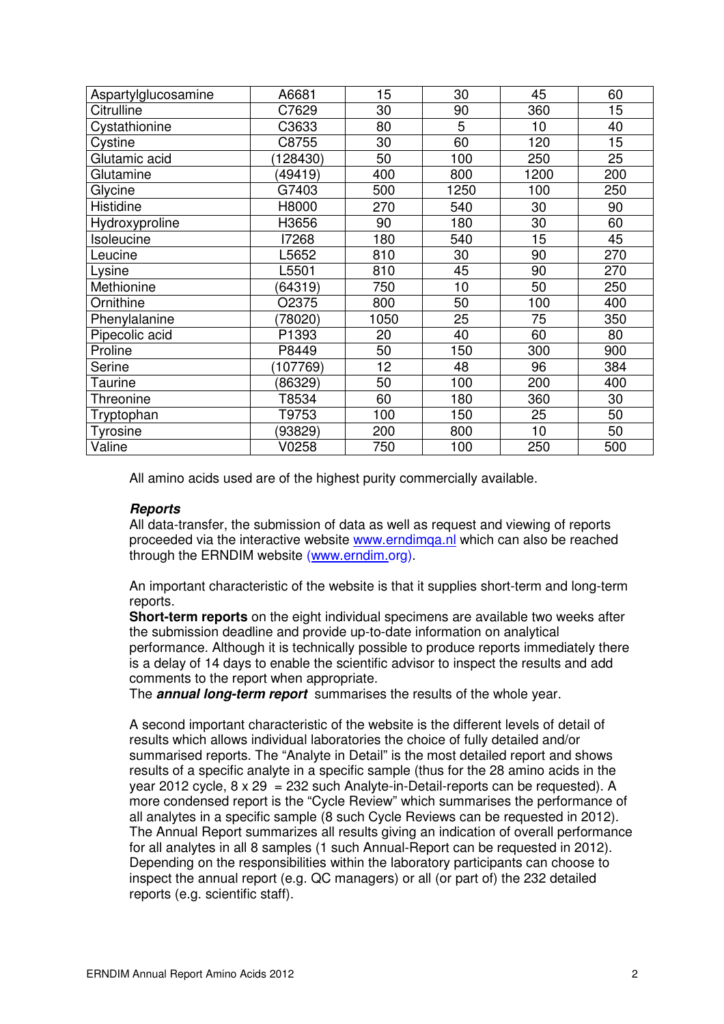| Aspartylglucosamine | A6681    | 15   | 30   | 45   | 60  |
|---------------------|----------|------|------|------|-----|
| Citrulline          | C7629    | 30   | 90   | 360  | 15  |
| Cystathionine       | C3633    | 80   | 5    | 10   | 40  |
| Cystine             | C8755    | 30   | 60   | 120  | 15  |
| Glutamic acid       | 128430)  | 50   | 100  | 250  | 25  |
| Glutamine           | (49419)  | 400  | 800  | 1200 | 200 |
| Glycine             | G7403    | 500  | 1250 | 100  | 250 |
| Histidine           | H8000    | 270  | 540  | 30   | 90  |
| Hydroxyproline      | H3656    | 90   | 180  | 30   | 60  |
| Isoleucine          | 17268    | 180  | 540  | 15   | 45  |
| Leucine             | L5652    | 810  | 30   | 90   | 270 |
| Lysine              | L5501    | 810  | 45   | 90   | 270 |
| Methionine          | (64319)  | 750  | 10   | 50   | 250 |
| Ornithine           | O2375    | 800  | 50   | 100  | 400 |
| Phenylalanine       | (78020)  | 1050 | 25   | 75   | 350 |
| Pipecolic acid      | P1393    | 20   | 40   | 60   | 80  |
| Proline             | P8449    | 50   | 150  | 300  | 900 |
| Serine              | (107769) | 12   | 48   | 96   | 384 |
| Taurine             | (86329)  | 50   | 100  | 200  | 400 |
| Threonine           | T8534    | 60   | 180  | 360  | 30  |
| Tryptophan          | T9753    | 100  | 150  | 25   | 50  |
| Tyrosine            | (93829)  | 200  | 800  | 10   | 50  |
| Valine              | V0258    | 750  | 100  | 250  | 500 |

All amino acids used are of the highest purity commercially available.

#### **Reports**

All data-transfer, the submission of data as well as request and viewing of reports proceeded via the interactive website www.erndimqa.nl which can also be reached through the ERNDIM website (www.erndim.org).

An important characteristic of the website is that it supplies short-term and long-term reports.

**Short-term reports** on the eight individual specimens are available two weeks after the submission deadline and provide up-to-date information on analytical performance. Although it is technically possible to produce reports immediately there is a delay of 14 days to enable the scientific advisor to inspect the results and add comments to the report when appropriate.

The **annual long-term report** summarises the results of the whole year.

A second important characteristic of the website is the different levels of detail of results which allows individual laboratories the choice of fully detailed and/or summarised reports. The "Analyte in Detail" is the most detailed report and shows results of a specific analyte in a specific sample (thus for the 28 amino acids in the year 2012 cycle,  $8 \times 29 = 232$  such Analyte-in-Detail-reports can be requested). A more condensed report is the "Cycle Review" which summarises the performance of all analytes in a specific sample (8 such Cycle Reviews can be requested in 2012). The Annual Report summarizes all results giving an indication of overall performance for all analytes in all 8 samples (1 such Annual-Report can be requested in 2012). Depending on the responsibilities within the laboratory participants can choose to inspect the annual report (e.g. QC managers) or all (or part of) the 232 detailed reports (e.g. scientific staff).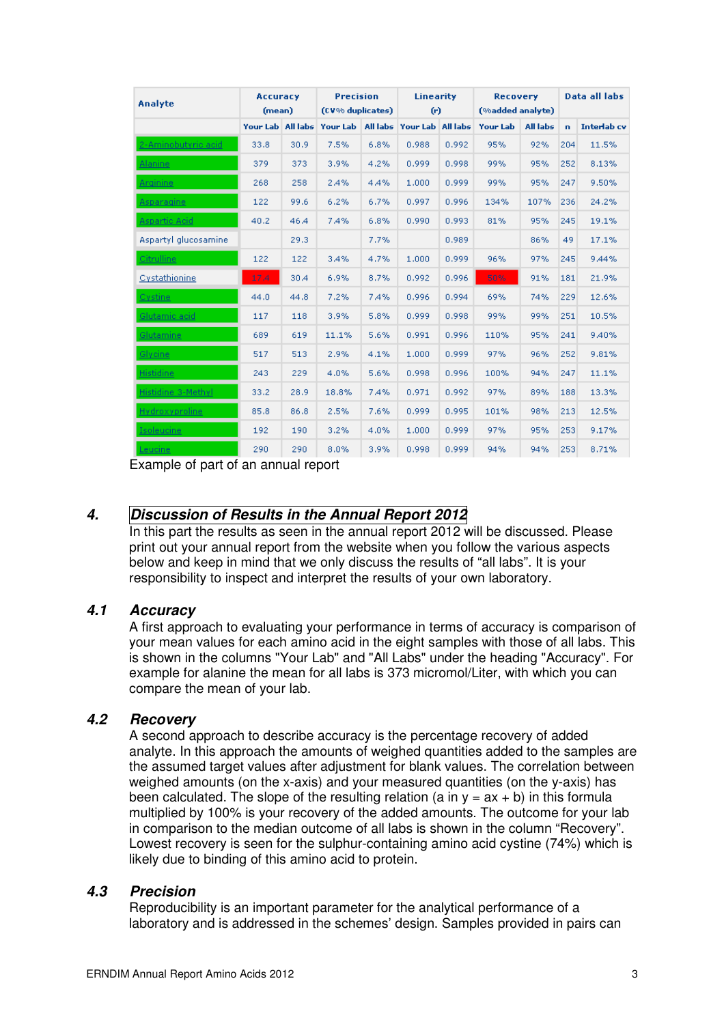| Analyte              | <b>Accuracy</b><br>(mean) |      | <b>Precision</b><br>(CV% duplicates) |      | <b>Linearity</b><br>(r)                   |       | <b>Recovery</b><br>(%added analyte) |                 |     | Data all labs      |
|----------------------|---------------------------|------|--------------------------------------|------|-------------------------------------------|-------|-------------------------------------|-----------------|-----|--------------------|
|                      | Your Lab All labs         |      |                                      |      | Your Lab   All labs   Your Lab   All labs |       | Your Lab                            | <b>All labs</b> | n.  | <b>Interlab</b> cv |
| 2-Aminobutyric acid  | 33.8                      | 30.9 | 7.5%                                 | 6.8% | 0.988                                     | 0.992 | 95%                                 | 92%             | 204 | 11.5%              |
| <b>Alanine</b>       | 379                       | 373  | 3.9%                                 | 4.2% | 0.999                                     | 0.998 | 99%                                 | 95%             | 252 | 8.13%              |
| Arginine             | 268                       | 258  | 2.4%                                 | 4.4% | 1,000                                     | 0.999 | 99%                                 | 95%             | 247 | 9.50%              |
| Asparagine           | 122                       | 99.6 | 6.2%                                 | 6.7% | 0.997                                     | 0.996 | 134%                                | 107%            | 236 | 24.2%              |
| <b>Aspartic Acid</b> | 40.2                      | 46.4 | 7.4%                                 | 6.8% | 0.990                                     | 0.993 | 81%                                 | 95%             | 245 | 19.1%              |
| Aspartyl glucosamine |                           | 29.3 |                                      | 7.7% |                                           | 0.989 |                                     | 86%             | 49  | 17.1%              |
| Citrulline           | 122                       | 122  | 3.4%                                 | 4.7% | 1,000                                     | 0.999 | 96%                                 | 97%             | 245 | 9.44%              |
| Cystathionine        | 17.4                      | 30.4 | 6.9%                                 | 8.7% | 0.992                                     | 0.996 | 50%                                 | 91%             | 181 | 21.9%              |
| Cystine:             | 44.0                      | 44.8 | 7.2%                                 | 7.4% | 0.996                                     | 0.994 | 69%                                 | 74%             | 229 | 12.6%              |
| Glutamic acid        | 117                       | 118  | 3.9%                                 | 5.8% | 0.999                                     | 0.998 | 99%                                 | 99%             | 251 | 10.5%              |
| Glutamine            | 689                       | 619  | 11.1%                                | 5.6% | 0.991                                     | 0.996 | 110%                                | 95%             | 241 | 9.40%              |
| Glycine              | 517                       | 513  | 2.9%                                 | 4.1% | 1,000                                     | 0.999 | 97%                                 | 96%             | 252 | 9.81%              |
| <b>Histidine</b>     | 243                       | 229  | 4.0%                                 | 5.6% | 0.998                                     | 0.996 | 100%                                | 94%             | 247 | 11.1%              |
| Histidine 3-Methyl   | 33.2                      | 28.9 | 18.8%                                | 7.4% | 0.971                                     | 0.992 | 97%                                 | 89%             | 188 | 13.3%              |
| Hydroxyproline       | 85.8                      | 86.8 | 2.5%                                 | 7.6% | 0.999                                     | 0.995 | 101%                                | 98%             | 213 | 12.5%              |
| <b>Isoleucine</b>    | 192                       | 190  | 3.2%                                 | 4.0% | 1,000                                     | 0.999 | 97%                                 | 95%             | 253 | 9.17%              |
| Leucinel             | 290                       | 290  | 8.0%                                 | 3.9% | 0.998                                     | 0.999 | 94%                                 | 94%             | 253 | 8.71%              |

Example of part of an annual report

# **4. Discussion of Results in the Annual Report 2012**

In this part the results as seen in the annual report 2012 will be discussed. Please print out your annual report from the website when you follow the various aspects below and keep in mind that we only discuss the results of "all labs". It is your responsibility to inspect and interpret the results of your own laboratory.

# **4.1 Accuracy**

A first approach to evaluating your performance in terms of accuracy is comparison of your mean values for each amino acid in the eight samples with those of all labs. This is shown in the columns "Your Lab" and "All Labs" under the heading "Accuracy". For example for alanine the mean for all labs is 373 micromol/Liter, with which you can compare the mean of your lab.

# **4.2 Recovery**

A second approach to describe accuracy is the percentage recovery of added analyte. In this approach the amounts of weighed quantities added to the samples are the assumed target values after adjustment for blank values. The correlation between weighed amounts (on the x-axis) and your measured quantities (on the y-axis) has been calculated. The slope of the resulting relation (a in  $y = ax + b$ ) in this formula multiplied by 100% is your recovery of the added amounts. The outcome for your lab in comparison to the median outcome of all labs is shown in the column "Recovery". Lowest recovery is seen for the sulphur-containing amino acid cystine (74%) which is likely due to binding of this amino acid to protein.

#### **4.3 Precision**

Reproducibility is an important parameter for the analytical performance of a laboratory and is addressed in the schemes' design. Samples provided in pairs can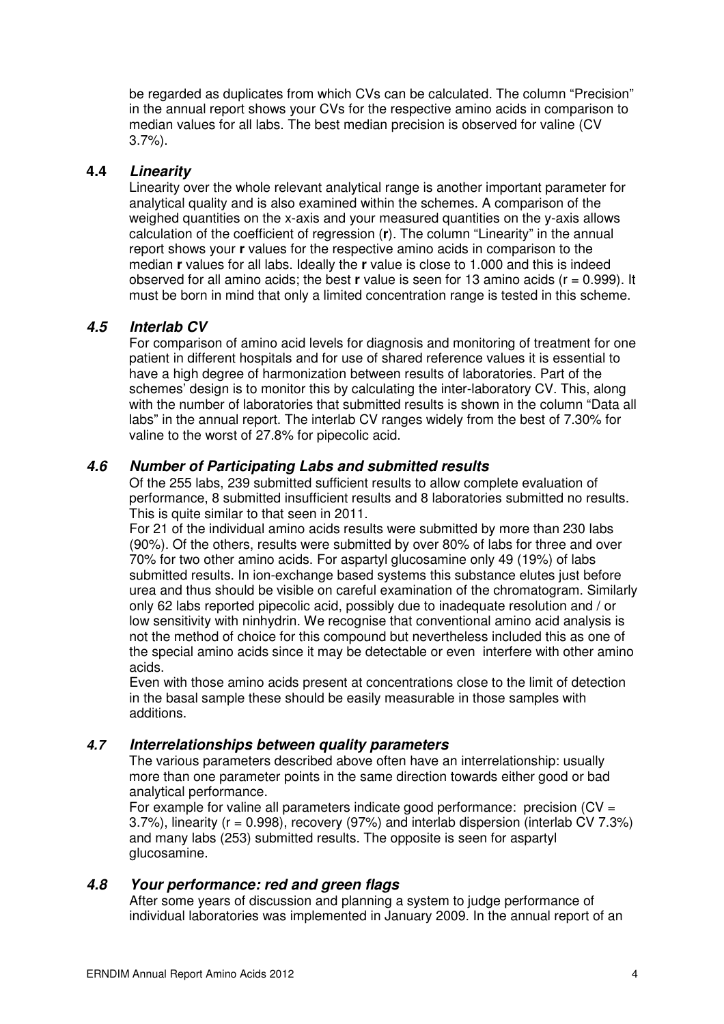be regarded as duplicates from which CVs can be calculated. The column "Precision" in the annual report shows your CVs for the respective amino acids in comparison to median values for all labs. The best median precision is observed for valine (CV 3.7%).

### **4.4 Linearity**

Linearity over the whole relevant analytical range is another important parameter for analytical quality and is also examined within the schemes. A comparison of the weighed quantities on the x-axis and your measured quantities on the y-axis allows calculation of the coefficient of regression (**r**). The column "Linearity" in the annual report shows your **r** values for the respective amino acids in comparison to the median **r** values for all labs. Ideally the **r** value is close to 1.000 and this is indeed observed for all amino acids; the best **r** value is seen for 13 amino acids (r = 0.999). It must be born in mind that only a limited concentration range is tested in this scheme.

#### **4.5 Interlab CV**

For comparison of amino acid levels for diagnosis and monitoring of treatment for one patient in different hospitals and for use of shared reference values it is essential to have a high degree of harmonization between results of laboratories. Part of the schemes' design is to monitor this by calculating the inter-laboratory CV. This, along with the number of laboratories that submitted results is shown in the column "Data all labs" in the annual report. The interlab CV ranges widely from the best of 7.30% for valine to the worst of 27.8% for pipecolic acid.

#### **4.6 Number of Participating Labs and submitted results**

Of the 255 labs, 239 submitted sufficient results to allow complete evaluation of performance, 8 submitted insufficient results and 8 laboratories submitted no results. This is quite similar to that seen in 2011.

For 21 of the individual amino acids results were submitted by more than 230 labs (90%). Of the others, results were submitted by over 80% of labs for three and over 70% for two other amino acids. For aspartyl glucosamine only 49 (19%) of labs submitted results. In ion-exchange based systems this substance elutes just before urea and thus should be visible on careful examination of the chromatogram. Similarly only 62 labs reported pipecolic acid, possibly due to inadequate resolution and / or low sensitivity with ninhydrin. We recognise that conventional amino acid analysis is not the method of choice for this compound but nevertheless included this as one of the special amino acids since it may be detectable or even interfere with other amino acids.

Even with those amino acids present at concentrations close to the limit of detection in the basal sample these should be easily measurable in those samples with additions.

#### **4.7 Interrelationships between quality parameters**

The various parameters described above often have an interrelationship: usually more than one parameter points in the same direction towards either good or bad analytical performance.

For example for valine all parameters indicate good performance: precision  $(CV =$ 3.7%), linearity (r = 0.998), recovery (97%) and interlab dispersion (interlab CV 7.3%) and many labs (253) submitted results. The opposite is seen for aspartyl glucosamine.

#### **4.8 Your performance: red and green flags**

After some years of discussion and planning a system to judge performance of individual laboratories was implemented in January 2009. In the annual report of an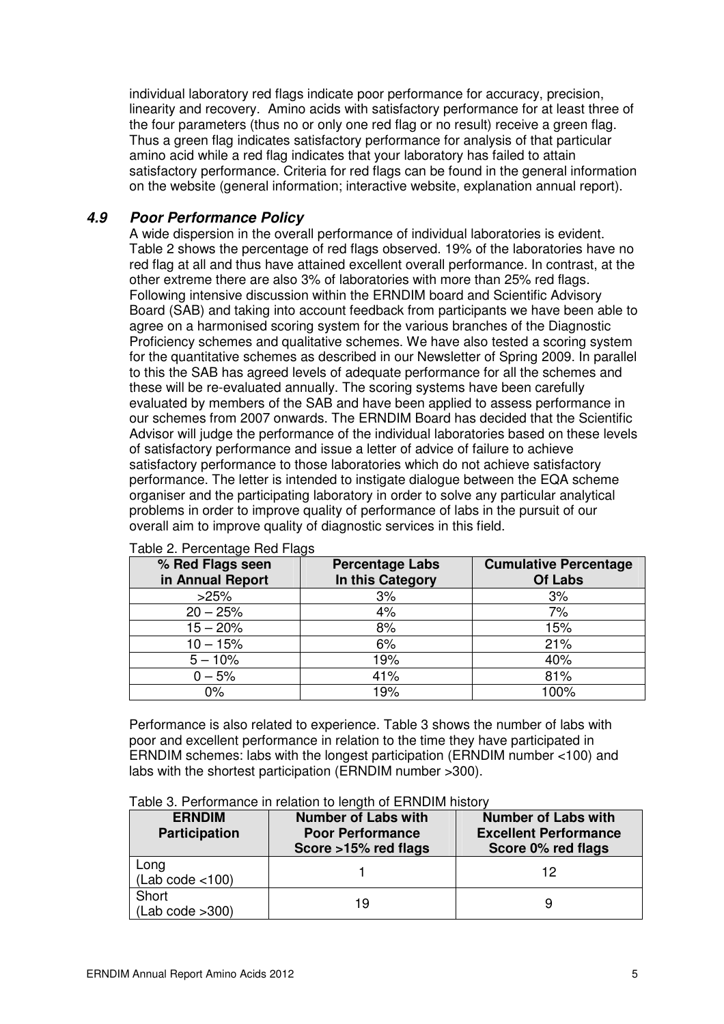individual laboratory red flags indicate poor performance for accuracy, precision, linearity and recovery. Amino acids with satisfactory performance for at least three of the four parameters (thus no or only one red flag or no result) receive a green flag. Thus a green flag indicates satisfactory performance for analysis of that particular amino acid while a red flag indicates that your laboratory has failed to attain satisfactory performance. Criteria for red flags can be found in the general information on the website (general information; interactive website, explanation annual report).

### **4.9 Poor Performance Policy**

A wide dispersion in the overall performance of individual laboratories is evident. Table 2 shows the percentage of red flags observed. 19% of the laboratories have no red flag at all and thus have attained excellent overall performance. In contrast, at the other extreme there are also 3% of laboratories with more than 25% red flags. Following intensive discussion within the ERNDIM board and Scientific Advisory Board (SAB) and taking into account feedback from participants we have been able to agree on a harmonised scoring system for the various branches of the Diagnostic Proficiency schemes and qualitative schemes. We have also tested a scoring system for the quantitative schemes as described in our Newsletter of Spring 2009. In parallel to this the SAB has agreed levels of adequate performance for all the schemes and these will be re-evaluated annually. The scoring systems have been carefully evaluated by members of the SAB and have been applied to assess performance in our schemes from 2007 onwards. The ERNDIM Board has decided that the Scientific Advisor will judge the performance of the individual laboratories based on these levels of satisfactory performance and issue a letter of advice of failure to achieve satisfactory performance to those laboratories which do not achieve satisfactory performance. The letter is intended to instigate dialogue between the EQA scheme organiser and the participating laboratory in order to solve any particular analytical problems in order to improve quality of performance of labs in the pursuit of our overall aim to improve quality of diagnostic services in this field.

| % Red Flags seen<br>in Annual Report | <b>Percentage Labs</b><br>In this Category | <b>Cumulative Percentage</b><br>Of Labs |
|--------------------------------------|--------------------------------------------|-----------------------------------------|
| >25%                                 | 3%                                         | 3%                                      |
| $20 - 25%$                           | 4%                                         | 7%                                      |
| $15 - 20%$                           | 8%                                         | 15%                                     |
| $10 - 15%$                           | 6%                                         | 21%                                     |
| $5 - 10%$                            | 19%                                        | 40%                                     |
| $0 - 5%$                             | 41%                                        | 81%                                     |
| 0%                                   | 19%                                        | 100%                                    |

Table 2. Percentage Red Flags

Performance is also related to experience. Table 3 shows the number of labs with poor and excellent performance in relation to the time they have participated in ERNDIM schemes: labs with the longest participation (ERNDIM number <100) and labs with the shortest participation (ERNDIM number >300).

| <b>ERNDIM</b><br><b>Participation</b> | <b>Number of Labs with</b><br><b>Poor Performance</b><br>Score >15% red flags | <b>Number of Labs with</b><br><b>Excellent Performance</b><br>Score 0% red flags |
|---------------------------------------|-------------------------------------------------------------------------------|----------------------------------------------------------------------------------|
| Long<br>(Lab code < 100)              |                                                                               | 12                                                                               |
| Short                                 |                                                                               |                                                                                  |

(Lab code >300) 19 9

Table 3. Performance in relation to length of ERNDIM history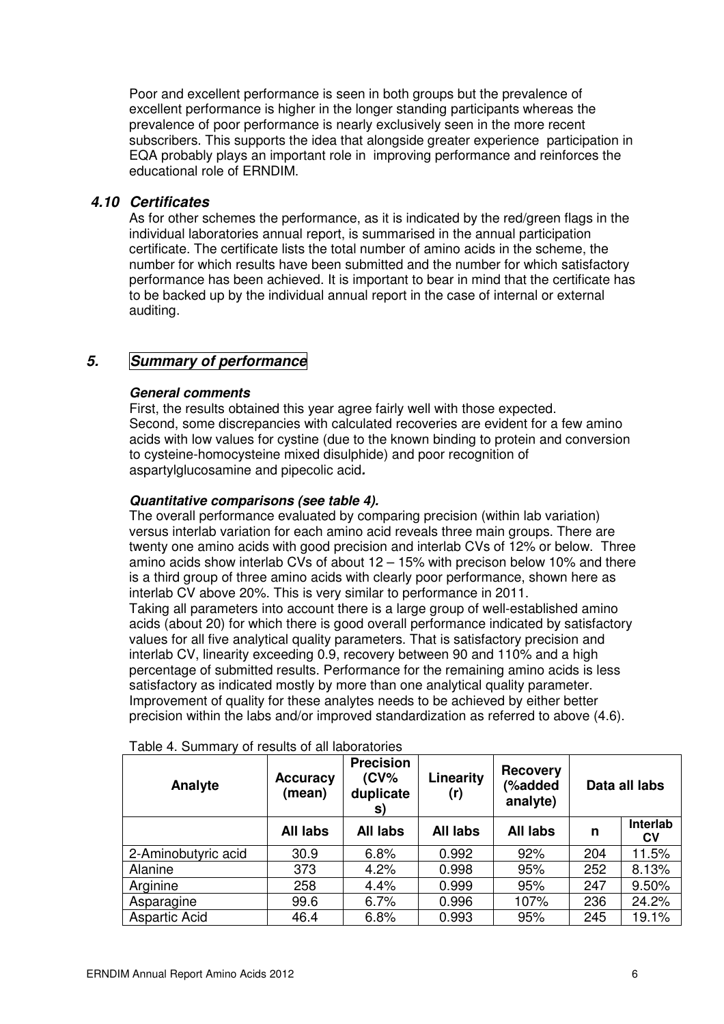Poor and excellent performance is seen in both groups but the prevalence of excellent performance is higher in the longer standing participants whereas the prevalence of poor performance is nearly exclusively seen in the more recent subscribers. This supports the idea that alongside greater experience participation in EQA probably plays an important role in improving performance and reinforces the educational role of ERNDIM.

### **4.10 Certificates**

As for other schemes the performance, as it is indicated by the red/green flags in the individual laboratories annual report, is summarised in the annual participation certificate. The certificate lists the total number of amino acids in the scheme, the number for which results have been submitted and the number for which satisfactory performance has been achieved. It is important to bear in mind that the certificate has to be backed up by the individual annual report in the case of internal or external auditing.

# **5. Summary of performance**

#### **General comments**

First, the results obtained this year agree fairly well with those expected. Second, some discrepancies with calculated recoveries are evident for a few amino acids with low values for cystine (due to the known binding to protein and conversion to cysteine-homocysteine mixed disulphide) and poor recognition of aspartylglucosamine and pipecolic acid**.** 

#### **Quantitative comparisons (see table 4).**

The overall performance evaluated by comparing precision (within lab variation) versus interlab variation for each amino acid reveals three main groups. There are twenty one amino acids with good precision and interlab CVs of 12% or below. Three amino acids show interlab CVs of about 12 – 15% with precison below 10% and there is a third group of three amino acids with clearly poor performance, shown here as interlab CV above 20%. This is very similar to performance in 2011. Taking all parameters into account there is a large group of well-established amino acids (about 20) for which there is good overall performance indicated by satisfactory values for all five analytical quality parameters. That is satisfactory precision and interlab CV, linearity exceeding 0.9, recovery between 90 and 110% and a high percentage of submitted results. Performance for the remaining amino acids is less satisfactory as indicated mostly by more than one analytical quality parameter. Improvement of quality for these analytes needs to be achieved by either better precision within the labs and/or improved standardization as referred to above (4.6).

| Analyte              | <b>Accuracy</b><br>(mean) | <b>Precision</b><br>$(CV\%$<br>duplicate<br>S) | Linearity<br>(r) | <b>Recovery</b><br>(%added<br>analyte) | Data all labs |                |
|----------------------|---------------------------|------------------------------------------------|------------------|----------------------------------------|---------------|----------------|
|                      | <b>All labs</b>           | <b>All labs</b>                                | <b>All labs</b>  | <b>All labs</b>                        | n             | Interlab<br>CV |
| 2-Aminobutyric acid  | 30.9                      | 6.8%                                           | 0.992            | 92%                                    | 204           | 11.5%          |
| Alanine              | 373                       | 4.2%                                           | 0.998            | 95%                                    | 252           | 8.13%          |
| Arginine             | 258                       | 4.4%                                           | 0.999            | 95%                                    | 247           | 9.50%          |
| Asparagine           | 99.6                      | 6.7%                                           | 0.996            | 107%                                   | 236           | 24.2%          |
| <b>Aspartic Acid</b> | 46.4                      | 6.8%                                           | 0.993            | 95%                                    | 245           | 19.1%          |

Table 4. Summary of results of all laboratories